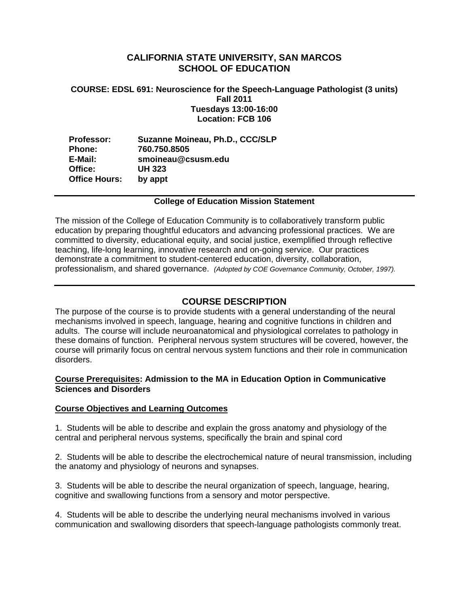# **CALIFORNIA STATE UNIVERSITY, SAN MARCOS SCHOOL OF EDUCATION**

## **COURSE: EDSL 691: Neuroscience for the Speech-Language Pathologist (3 units) Fall 2011 Tuesdays 13:00-16:00 Location: FCB 106**

**Professor: Suzanne Moineau, Ph.D., CCC/SLP Phone: 760.750.8505 E-Mail: smoineau@csusm.edu Office: UH 323 Office Hours: by appt** 

### **College of Education Mission Statement**

The mission of the College of Education Community is to collaboratively transform public education by preparing thoughtful educators and advancing professional practices. We are committed to diversity, educational equity, and social justice, exemplified through reflective teaching, life-long learning, innovative research and on-going service. Our practices demonstrate a commitment to student-centered education, diversity, collaboration, professionalism, and shared governance. *(Adopted by COE Governance Community, October, 1997).* 

# **COURSE DESCRIPTION**

The purpose of the course is to provide students with a general understanding of the neural mechanisms involved in speech, language, hearing and cognitive functions in children and adults. The course will include neuroanatomical and physiological correlates to pathology in these domains of function. Peripheral nervous system structures will be covered, however, the course will primarily focus on central nervous system functions and their role in communication disorders.

## **Course Prerequisites: Admission to the MA in Education Option in Communicative Sciences and Disorders**

### **Course Objectives and Learning Outcomes**

1. Students will be able to describe and explain the gross anatomy and physiology of the central and peripheral nervous systems, specifically the brain and spinal cord

2. Students will be able to describe the electrochemical nature of neural transmission, including the anatomy and physiology of neurons and synapses.

3. Students will be able to describe the neural organization of speech, language, hearing, cognitive and swallowing functions from a sensory and motor perspective.

4. Students will be able to describe the underlying neural mechanisms involved in various communication and swallowing disorders that speech-language pathologists commonly treat.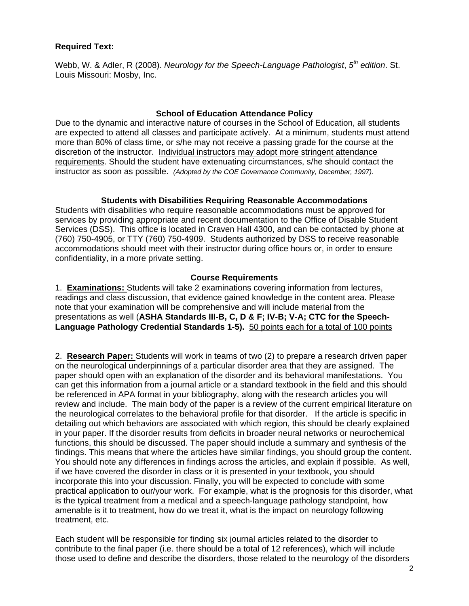# **Required Text:**

Webb, W. & Adler, R (2008). *Neurology for the Speech-Language Pathologist*, *5th edition*. St. Louis Missouri: Mosby, Inc.

## **School of Education Attendance Policy**

 instructor as soon as possible. *(Adopted by the COE Governance Community, December, 1997).* Due to the dynamic and interactive nature of courses in the School of Education, all students are expected to attend all classes and participate actively. At a minimum, students must attend more than 80% of class time, or s/he may not receive a passing grade for the course at the discretion of the instructor. Individual instructors may adopt more stringent attendance requirements. Should the student have extenuating circumstances, s/he should contact the

# **Students with Disabilities Requiring Reasonable Accommodations**

Students with disabilities who require reasonable accommodations must be approved for services by providing appropriate and recent documentation to the Office of Disable Student Services (DSS). This office is located in Craven Hall 4300, and can be contacted by phone at (760) 750-4905, or TTY (760) 750-4909. Students authorized by DSS to receive reasonable accommodations should meet with their instructor during office hours or, in order to ensure confidentiality, in a more private setting.

## **Course Requirements**

1. **Examinations:** Students will take 2 examinations covering information from lectures, readings and class discussion, that evidence gained knowledge in the content area. Please note that your examination will be comprehensive and will include material from the presentations as well (**ASHA Standards III-B, C, D & F; IV-B; V-A; CTC for the Speech-Language Pathology Credential Standards 1-5).** 50 points each for a total of 100 points

2. **Research Paper:** Students will work in teams of two (2) to prepare a research driven paper on the neurological underpinnings of a particular disorder area that they are assigned. The paper should open with an explanation of the disorder and its behavioral manifestations. You can get this information from a journal article or a standard textbook in the field and this should be referenced in APA format in your bibliography, along with the research articles you will review and include. The main body of the paper is a review of the current empirical literature on the neurological correlates to the behavioral profile for that disorder. If the article is specific in detailing out which behaviors are associated with which region, this should be clearly explained in your paper. If the disorder results from deficits in broader neural networks or neurochemical functions, this should be discussed. The paper should include a summary and synthesis of the findings. This means that where the articles have similar findings, you should group the content. You should note any differences in findings across the articles, and explain if possible. As well, if we have covered the disorder in class or it is presented in your textbook, you should incorporate this into your discussion. Finally, you will be expected to conclude with some practical application to our/your work. For example, what is the prognosis for this disorder, what is the typical treatment from a medical and a speech-language pathology standpoint, how amenable is it to treatment, how do we treat it, what is the impact on neurology following treatment, etc.

Each student will be responsible for finding six journal articles related to the disorder to contribute to the final paper (i.e. there should be a total of 12 references), which will include those used to define and describe the disorders, those related to the neurology of the disorders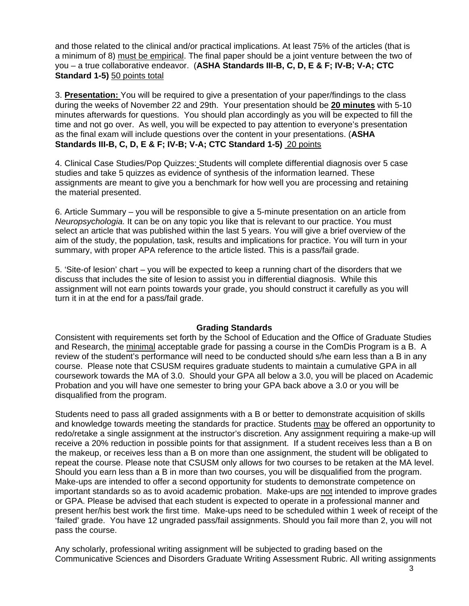and those related to the clinical and/or practical implications. At least 75% of the articles (that is a minimum of 8) must be empirical. The final paper should be a joint venture between the two of you – a true collaborative endeavor. (**ASHA Standards III-B, C, D, E & F; IV-B; V-A; CTC Standard 1-5)** 50 points total

3. **Presentation:** You will be required to give a presentation of your paper/findings to the class during the weeks of November 22 and 29th. Your presentation should be **20 minutes** with 5-10 minutes afterwards for questions. You should plan accordingly as you will be expected to fill the time and not go over. As well, you will be expected to pay attention to everyone's presentation as the final exam will include questions over the content in your presentations. (**ASHA Standards III-B, C, D, E & F; IV-B; V-A; CTC Standard 1-5)** 20 points

4. Clinical Case Studies/Pop Quizzes: Students will complete differential diagnosis over 5 case studies and take 5 quizzes as evidence of synthesis of the information learned. These assignments are meant to give you a benchmark for how well you are processing and retaining the material presented.

6. Article Summary – you will be responsible to give a 5-minute presentation on an article from *Neuropsychologia.* It can be on any topic you like that is relevant to our practice. You must select an article that was published within the last 5 years. You will give a brief overview of the aim of the study, the population, task, results and implications for practice. You will turn in your summary, with proper APA reference to the article listed. This is a pass/fail grade.

5. 'Site-of lesion' chart – you will be expected to keep a running chart of the disorders that we discuss that includes the site of lesion to assist you in differential diagnosis. While this assignment will not earn points towards your grade, you should construct it carefully as you will turn it in at the end for a pass/fail grade.

# **Grading Standards**

Consistent with requirements set forth by the School of Education and the Office of Graduate Studies and Research, the minimal acceptable grade for passing a course in the ComDis Program is a B. A review of the student's performance will need to be conducted should s/he earn less than a B in any course. Please note that CSUSM requires graduate students to maintain a cumulative GPA in all coursework towards the MA of 3.0. Should your GPA all below a 3.0, you will be placed on Academic Probation and you will have one semester to bring your GPA back above a 3.0 or you will be disqualified from the program.

Students need to pass all graded assignments with a B or better to demonstrate acquisition of skills and knowledge towards meeting the standards for practice. Students may be offered an opportunity to redo/retake a single assignment at the instructor's discretion. Any assignment requiring a make-up will receive a 20% reduction in possible points for that assignment. If a student receives less than a B on the makeup, or receives less than a B on more than one assignment, the student will be obligated to repeat the course. Please note that CSUSM only allows for two courses to be retaken at the MA level. Should you earn less than a B in more than two courses, you will be disqualified from the program. Make-ups are intended to offer a second opportunity for students to demonstrate competence on important standards so as to avoid academic probation. Make-ups are not intended to improve grades or GPA. Please be advised that each student is expected to operate in a professional manner and present her/his best work the first time. Make-ups need to be scheduled within 1 week of receipt of the 'failed' grade. You have 12 ungraded pass/fail assignments. Should you fail more than 2, you will not pass the course.

Any scholarly, professional writing assignment will be subjected to grading based on the Communicative Sciences and Disorders Graduate Writing Assessment Rubric. All writing assignments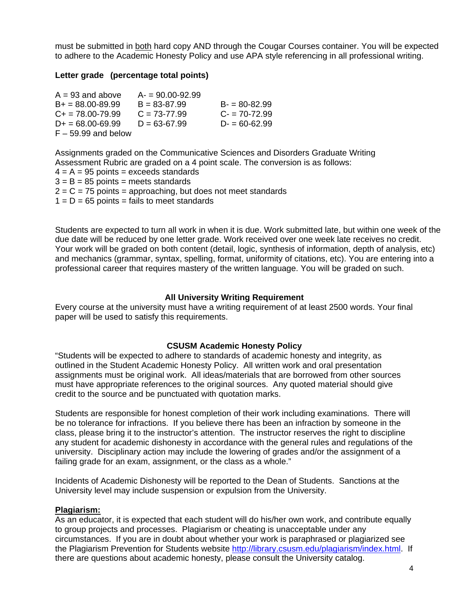must be submitted in both hard copy AND through the Cougar Courses container. You will be expected to adhere to the Academic Honesty Policy and use APA style referencing in all professional writing.

## **Letter grade (percentage total points)**

| $A = 93$ and above         | $A = 90.00 - 92.99$ |                  |
|----------------------------|---------------------|------------------|
| $B+ = 88.00 - 89.99$       | $B = 83 - 87.99$    | $B = 80 - 82.99$ |
| $C_{\rm{+}}$ = 78.00-79.99 | $C = 73-77.99$      | $C = 70 - 72.99$ |
| $D+ = 68.00 - 69.99$       | $D = 63 - 67.99$    | $D = 60 - 62.99$ |
| $F - 59.99$ and below      |                     |                  |

Assignments graded on the Communicative Sciences and Disorders Graduate Writing Assessment Rubric are graded on a 4 point scale. The conversion is as follows:  $4 = A = 95$  points = exceeds standards  $3 = B = 85$  points = meets standards  $2 = C = 75$  points = approaching, but does not meet standards  $1 = D = 65$  points = fails to meet standards

Students are expected to turn all work in when it is due. Work submitted late, but within one week of the due date will be reduced by one letter grade. Work received over one week late receives no credit. Your work will be graded on both content (detail, logic, synthesis of information, depth of analysis, etc) and mechanics (grammar, syntax, spelling, format, uniformity of citations, etc). You are entering into a professional career that requires mastery of the written language. You will be graded on such.

### **All University Writing Requirement**

Every course at the university must have a writing requirement of at least 2500 words. Your final paper will be used to satisfy this requirements.

### **CSUSM Academic Honesty Policy**

"Students will be expected to adhere to standards of academic honesty and integrity, as outlined in the Student Academic Honesty Policy. All written work and oral presentation assignments must be original work. All ideas/materials that are borrowed from other sources must have appropriate references to the original sources. Any quoted material should give credit to the source and be punctuated with quotation marks.

Students are responsible for honest completion of their work including examinations. There will be no tolerance for infractions. If you believe there has been an infraction by someone in the class, please bring it to the instructor's attention. The instructor reserves the right to discipline any student for academic dishonesty in accordance with the general rules and regulations of the university. Disciplinary action may include the lowering of grades and/or the assignment of a failing grade for an exam, assignment, or the class as a whole."

Incidents of Academic Dishonesty will be reported to the Dean of Students. Sanctions at the University level may include suspension or expulsion from the University.

### **Plagiarism:**

As an educator, it is expected that each student will do his/her own work, and contribute equally to group projects and processes. Plagiarism or cheating is unacceptable under any circumstances. If you are in doubt about whether your work is paraphrased or plagiarized see the Plagiarism Prevention for Students website http://library.csusm.edu/plagiarism/index.html. If there are questions about academic honesty, please consult the University catalog.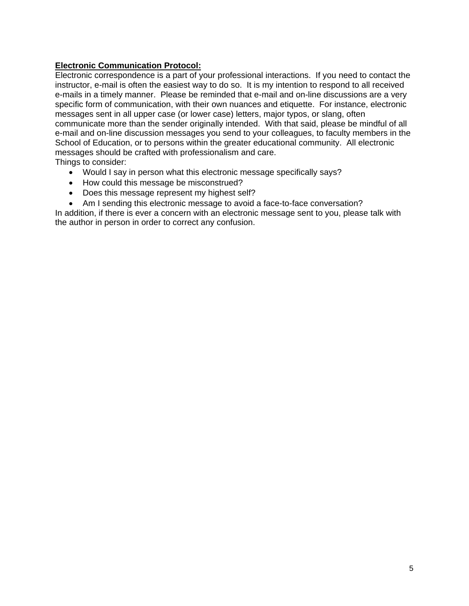# **Electronic Communication Protocol:**

Electronic correspondence is a part of your professional interactions. If you need to contact the instructor, e-mail is often the easiest way to do so. It is my intention to respond to all received e-mails in a timely manner. Please be reminded that e-mail and on-line discussions are a very specific form of communication, with their own nuances and etiquette. For instance, electronic messages sent in all upper case (or lower case) letters, major typos, or slang, often communicate more than the sender originally intended. With that said, please be mindful of all e-mail and on-line discussion messages you send to your colleagues, to faculty members in the School of Education, or to persons within the greater educational community. All electronic messages should be crafted with professionalism and care.

Things to consider:

- Would I say in person what this electronic message specifically says?
- How could this message be misconstrued?
- Does this message represent my highest self?
- Am I sending this electronic message to avoid a face-to-face conversation?

In addition, if there is ever a concern with an electronic message sent to you, please talk with the author in person in order to correct any confusion.